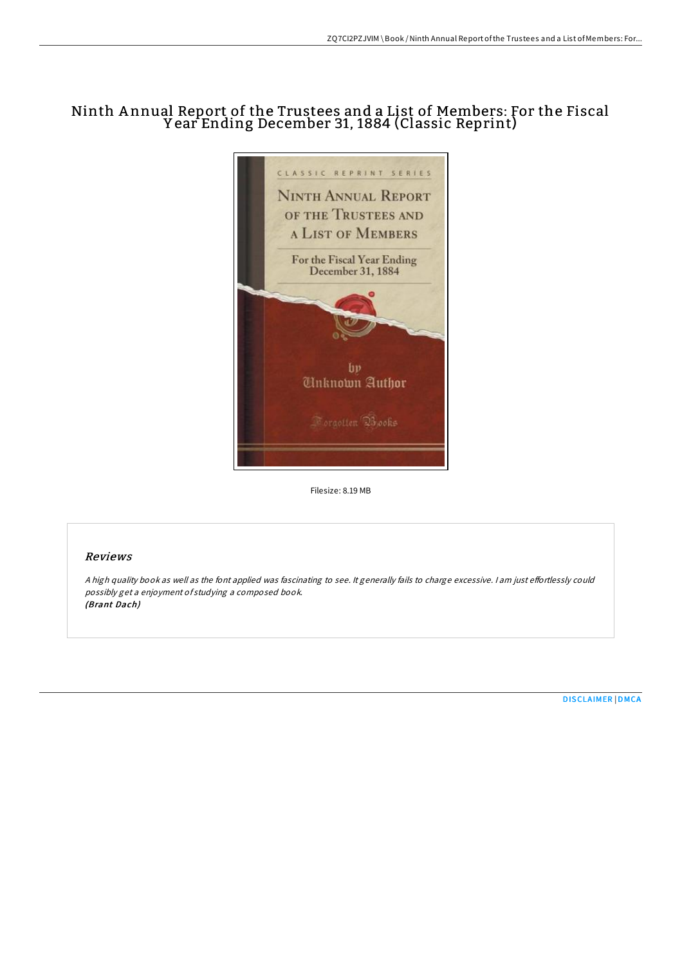## Ninth A nnual Report of the Trustees and a List of Members: For the Fiscal Y ear Ending December 31, 1884 (Classic Reprint)



Filesize: 8.19 MB

## Reviews

A high quality book as well as the font applied was fascinating to see. It generally fails to charge excessive. I am just effortlessly could possibly get <sup>a</sup> enjoyment of studying <sup>a</sup> composed book. (Brant Dach)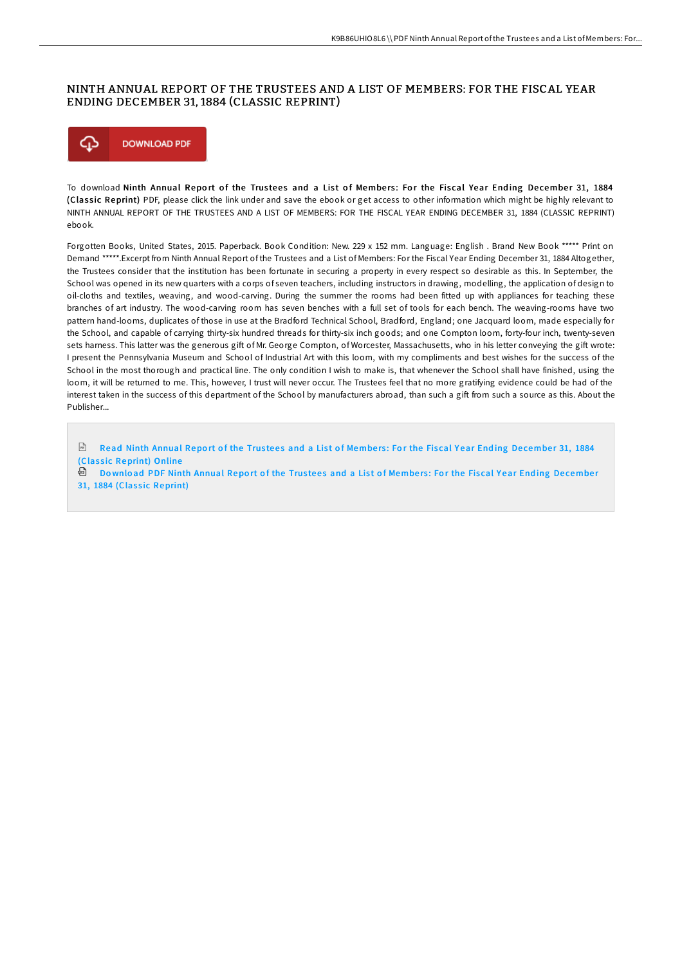## NINTH ANNUAL REPORT OF THE TRUSTEES AND A LIST OF MEMBERS: FOR THE FISCAL YEAR ENDING DECEMBER 31, 1884 (CLASSIC REPRINT)



To download Ninth Annual Report of the Trustees and a List of Members: For the Fiscal Year Ending December 31, 1884 (Classic Reprint) PDF, please click the link under and save the ebook or get access to other information which might be highly relevant to NINTH ANNUAL REPORT OF THE TRUSTEES AND A LIST OF MEMBERS: FOR THE FISCAL YEAR ENDING DECEMBER 31, 1884 (CLASSIC REPRINT) ebook.

Forgotten Books, United States, 2015. Paperback. Book Condition: New. 229 x 152 mm. Language: English . Brand New Book \*\*\*\*\* Print on Demand \*\*\*\*\*.Excerpt from Ninth Annual Report of the Trustees and a List of Members: For the Fiscal Year Ending December 31, 1884 Altogether, the Trustees consider that the institution has been fortunate in securing a property in every respect so desirable as this. In September, the School was opened in its new quarters with a corps of seven teachers, including instructors in drawing, modelling, the application of design to oil-cloths and textiles, weaving, and wood-carving. During the summer the rooms had been fitted up with appliances for teaching these branches of art industry. The wood-carving room has seven benches with a full set of tools for each bench. The weaving-rooms have two pattern hand-looms, duplicates of those in use at the Bradford Technical School, Bradford, England; one Jacquard loom, made especially for the School, and capable of carrying thirty-six hundred threads for thirty-six inch goods; and one Compton loom, forty-four inch, twenty-seven sets harness. This latter was the generous gift of Mr. George Compton, of Worcester, Massachusetts, who in his letter conveying the gift wrote: I present the Pennsylvania Museum and School of Industrial Art with this loom, with my compliments and best wishes for the success of the School in the most thorough and practical line. The only condition I wish to make is, that whenever the School shall have finished, using the loom, it will be returned to me. This, however, I trust will never occur. The Trustees feel that no more gratifying evidence could be had of the interest taken in the success of this department of the School by manufacturers abroad, than such a gift from such a source as this. About the Publisher...

 $\boxed{m}$ Read Ninth Annual Report of the Trustees and a List of Members: For the Fiscal Year Ending December 31, 1884 (Classic [Reprint\)](http://almighty24.tech/ninth-annual-report-of-the-trustees-and-a-list-o.html) Online

**Download PDF Ninth Annual Report of the Trustees and a List of Members: For the Fiscal Year Ending December** 31, 1884 (Classic [Reprint\)](http://almighty24.tech/ninth-annual-report-of-the-trustees-and-a-list-o.html)